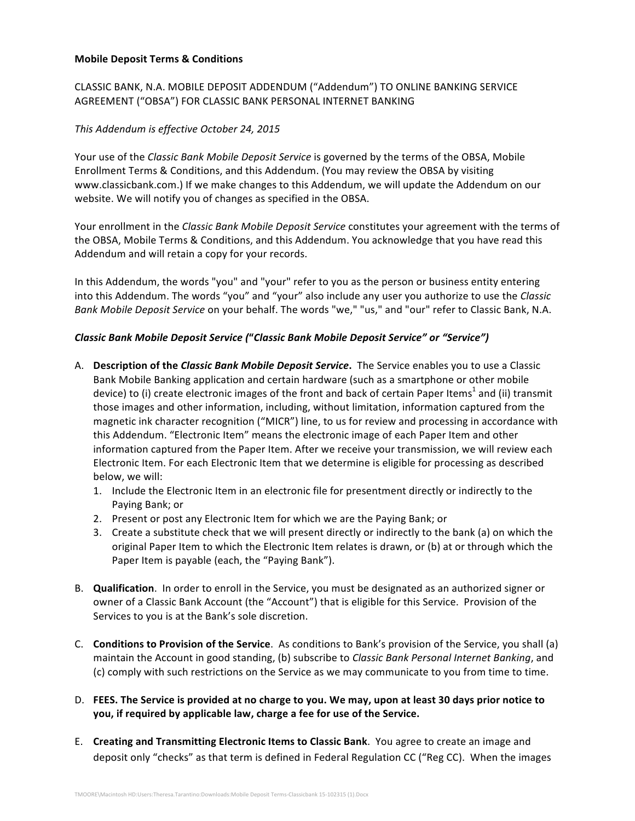## **Mobile Deposit Terms & Conditions**

CLASSIC BANK, N.A. MOBILE DEPOSIT ADDENDUM ("Addendum") TO ONLINE BANKING SERVICE AGREEMENT ("OBSA") FOR CLASSIC BANK PERSONAL INTERNET BANKING

## *This Addendum is effective October 24, 2015*

Your use of the *Classic Bank Mobile Deposit Service* is governed by the terms of the OBSA, Mobile Enrollment Terms & Conditions, and this Addendum. (You may review the OBSA by visiting www.classicbank.com.) If we make changes to this Addendum, we will update the Addendum on our website. We will notify you of changes as specified in the OBSA.

Your enrollment in the *Classic Bank Mobile Deposit Service* constitutes your agreement with the terms of the OBSA, Mobile Terms & Conditions, and this Addendum. You acknowledge that you have read this Addendum and will retain a copy for your records.

In this Addendum, the words "you" and "your" refer to you as the person or business entity entering into this Addendum. The words "you" and "your" also include any user you authorize to use the *Classic Bank Mobile Deposit Service* on your behalf. The words "we," "us," and "our" refer to Classic Bank, N.A.

## *Classic Bank Mobile Deposit Service (***"***Classic Bank Mobile Deposit Service" or "Service")*

- A. **Description of the** *Classic Bank Mobile Deposit Service*. The Service enables you to use a Classic Bank Mobile Banking application and certain hardware (such as a smartphone or other mobile device) to (i) create electronic images of the front and back of certain Paper Items<sup>1</sup> and (ii) transmit those images and other information, including, without limitation, information captured from the magnetic ink character recognition ("MICR") line, to us for review and processing in accordance with this Addendum. "Electronic Item" means the electronic image of each Paper Item and other information captured from the Paper Item. After we receive your transmission, we will review each Electronic Item. For each Electronic Item that we determine is eligible for processing as described below, we will:
	- 1. Include the Electronic Item in an electronic file for presentment directly or indirectly to the Paying Bank; or
	- 2. Present or post any Electronic Item for which we are the Paying Bank; or
	- 3. Create a substitute check that we will present directly or indirectly to the bank (a) on which the original Paper Item to which the Electronic Item relates is drawn, or (b) at or through which the Paper Item is payable (each, the "Paying Bank").
- B. **Qualification**. In order to enroll in the Service, you must be designated as an authorized signer or owner of a Classic Bank Account (the "Account") that is eligible for this Service. Provision of the Services to you is at the Bank's sole discretion.
- C. **Conditions to Provision of the Service**. As conditions to Bank's provision of the Service, you shall (a) maintain the Account in good standing, (b) subscribe to *Classic Bank Personal Internet Banking*, and (c) comply with such restrictions on the Service as we may communicate to you from time to time.
- D. FEES. The Service is provided at no charge to you. We may, upon at least 30 days prior notice to **you, if required by applicable law, charge a fee for use of the Service.**
- E. Creating and Transmitting Electronic Items to Classic Bank. You agree to create an image and deposit only "checks" as that term is defined in Federal Regulation CC ("Reg CC). When the images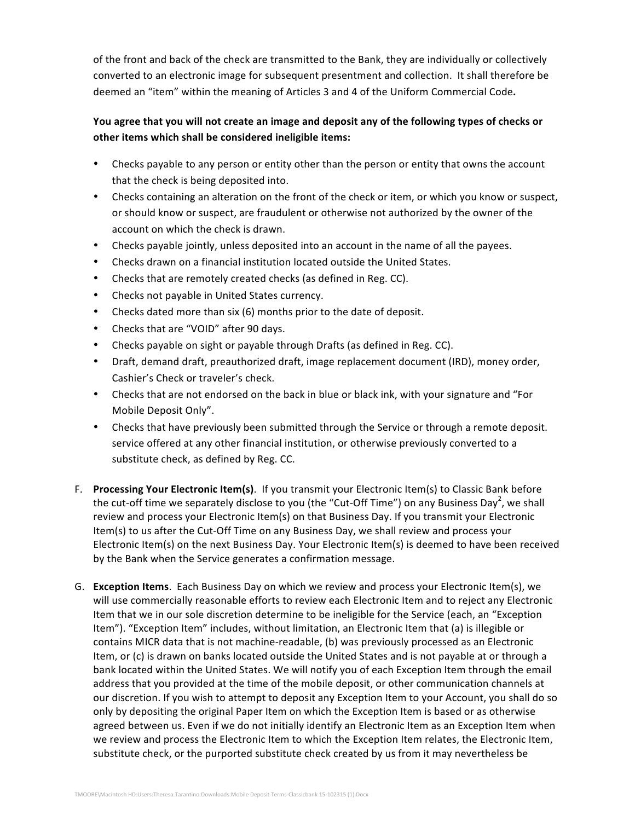of the front and back of the check are transmitted to the Bank, they are individually or collectively converted to an electronic image for subsequent presentment and collection. It shall therefore be deemed an "item" within the meaning of Articles 3 and 4 of the Uniform Commercial Code.

## You agree that you will not create an image and deposit any of the following types of checks or other items which shall be considered ineligible items:

- Checks payable to any person or entity other than the person or entity that owns the account that the check is being deposited into.
- Checks containing an alteration on the front of the check or item, or which you know or suspect, or should know or suspect, are fraudulent or otherwise not authorized by the owner of the account on which the check is drawn.
- Checks payable jointly, unless deposited into an account in the name of all the payees.
- Checks drawn on a financial institution located outside the United States.
- Checks that are remotely created checks (as defined in Reg. CC).
- Checks not payable in United States currency.
- Checks dated more than six (6) months prior to the date of deposit.
- Checks that are "VOID" after 90 days.
- Checks payable on sight or payable through Drafts (as defined in Reg. CC).
- Draft, demand draft, preauthorized draft, image replacement document (IRD), money order, Cashier's Check or traveler's check.
- Checks that are not endorsed on the back in blue or black ink, with your signature and "For Mobile Deposit Only".
- Checks that have previously been submitted through the Service or through a remote deposit. service offered at any other financial institution, or otherwise previously converted to a substitute check, as defined by Reg. CC.
- F. **Processing Your Electronic Item(s)**. If you transmit your Electronic Item(s) to Classic Bank before the cut-off time we separately disclose to you (the "Cut-Off Time") on any Business Day<sup>2</sup>, we shall review and process your Electronic Item(s) on that Business Day. If you transmit your Electronic Item(s) to us after the Cut-Off Time on any Business Day, we shall review and process your Electronic Item(s) on the next Business Day. Your Electronic Item(s) is deemed to have been received by the Bank when the Service generates a confirmation message.
- G. **Exception Items**. Each Business Day on which we review and process your Electronic Item(s), we will use commercially reasonable efforts to review each Electronic Item and to reject any Electronic Item that we in our sole discretion determine to be ineligible for the Service (each, an "Exception Item"). "Exception Item" includes, without limitation, an Electronic Item that (a) is illegible or contains MICR data that is not machine-readable, (b) was previously processed as an Electronic Item, or (c) is drawn on banks located outside the United States and is not payable at or through a bank located within the United States. We will notify you of each Exception Item through the email address that you provided at the time of the mobile deposit, or other communication channels at our discretion. If you wish to attempt to deposit any Exception Item to your Account, you shall do so only by depositing the original Paper Item on which the Exception Item is based or as otherwise agreed between us. Even if we do not initially identify an Electronic Item as an Exception Item when we review and process the Electronic Item to which the Exception Item relates, the Electronic Item, substitute check, or the purported substitute check created by us from it may nevertheless be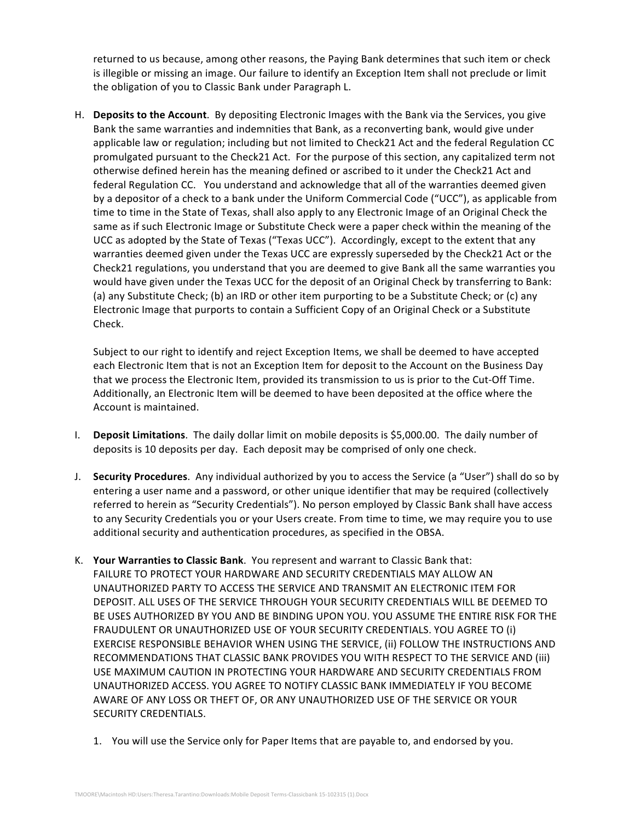returned to us because, among other reasons, the Paying Bank determines that such item or check is illegible or missing an image. Our failure to identify an Exception Item shall not preclude or limit the obligation of you to Classic Bank under Paragraph L.

H. **Deposits to the Account**. By depositing Electronic Images with the Bank via the Services, you give Bank the same warranties and indemnities that Bank, as a reconverting bank, would give under applicable law or regulation; including but not limited to Check21 Act and the federal Regulation CC promulgated pursuant to the Check21 Act. For the purpose of this section, any capitalized term not otherwise defined herein has the meaning defined or ascribed to it under the Check21 Act and federal Regulation CC. You understand and acknowledge that all of the warranties deemed given by a depositor of a check to a bank under the Uniform Commercial Code ("UCC"), as applicable from time to time in the State of Texas, shall also apply to any Electronic Image of an Original Check the same as if such Electronic Image or Substitute Check were a paper check within the meaning of the UCC as adopted by the State of Texas ("Texas UCC"). Accordingly, except to the extent that any warranties deemed given under the Texas UCC are expressly superseded by the Check21 Act or the Check21 regulations, you understand that you are deemed to give Bank all the same warranties you would have given under the Texas UCC for the deposit of an Original Check by transferring to Bank: (a) any Substitute Check; (b) an IRD or other item purporting to be a Substitute Check; or (c) any Electronic Image that purports to contain a Sufficient Copy of an Original Check or a Substitute Check.

Subject to our right to identify and reject Exception Items, we shall be deemed to have accepted each Electronic Item that is not an Exception Item for deposit to the Account on the Business Day that we process the Electronic Item, provided its transmission to us is prior to the Cut-Off Time. Additionally, an Electronic Item will be deemed to have been deposited at the office where the Account is maintained.

- I. **Deposit Limitations**. The daily dollar limit on mobile deposits is \$5,000.00. The daily number of deposits is 10 deposits per day. Each deposit may be comprised of only one check.
- J. **Security Procedures**. Any individual authorized by you to access the Service (a "User") shall do so by entering a user name and a password, or other unique identifier that may be required (collectively referred to herein as "Security Credentials"). No person employed by Classic Bank shall have access to any Security Credentials you or your Users create. From time to time, we may require you to use additional security and authentication procedures, as specified in the OBSA.
- K. Your Warranties to Classic Bank. You represent and warrant to Classic Bank that: FAILURE TO PROTECT YOUR HARDWARE AND SECURITY CREDENTIALS MAY ALLOW AN UNAUTHORIZED PARTY TO ACCESS THE SERVICE AND TRANSMIT AN ELECTRONIC ITEM FOR DEPOSIT. ALL USES OF THE SERVICE THROUGH YOUR SECURITY CREDENTIALS WILL BE DEEMED TO BE USES AUTHORIZED BY YOU AND BE BINDING UPON YOU. YOU ASSUME THE ENTIRE RISK FOR THE FRAUDULENT OR UNAUTHORIZED USE OF YOUR SECURITY CREDENTIALS. YOU AGREE TO (i) EXERCISE RESPONSIBLE BEHAVIOR WHEN USING THE SERVICE, (ii) FOLLOW THE INSTRUCTIONS AND RECOMMENDATIONS THAT CLASSIC BANK PROVIDES YOU WITH RESPECT TO THE SERVICE AND (iii) USE MAXIMUM CAUTION IN PROTECTING YOUR HARDWARE AND SECURITY CREDENTIALS FROM UNAUTHORIZED ACCESS. YOU AGREE TO NOTIFY CLASSIC BANK IMMEDIATELY IF YOU BECOME AWARE OF ANY LOSS OR THEFT OF, OR ANY UNAUTHORIZED USE OF THE SERVICE OR YOUR SECURITY CREDENTIALS.
	- 1. You will use the Service only for Paper Items that are payable to, and endorsed by you.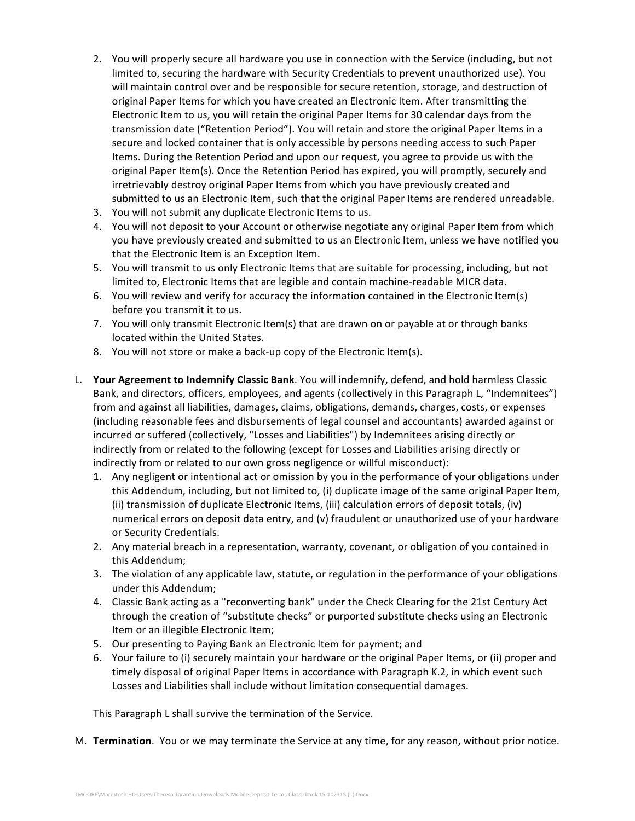- 2. You will properly secure all hardware you use in connection with the Service (including, but not limited to, securing the hardware with Security Credentials to prevent unauthorized use). You will maintain control over and be responsible for secure retention, storage, and destruction of original Paper Items for which you have created an Electronic Item. After transmitting the Electronic Item to us, you will retain the original Paper Items for 30 calendar days from the transmission date ("Retention Period"). You will retain and store the original Paper Items in a secure and locked container that is only accessible by persons needing access to such Paper Items. During the Retention Period and upon our request, you agree to provide us with the original Paper Item(s). Once the Retention Period has expired, you will promptly, securely and irretrievably destroy original Paper Items from which you have previously created and submitted to us an Electronic Item, such that the original Paper Items are rendered unreadable.
- 3. You will not submit any duplicate Electronic Items to us.
- 4. You will not deposit to your Account or otherwise negotiate any original Paper Item from which you have previously created and submitted to us an Electronic Item, unless we have notified you that the Electronic Item is an Exception Item.
- 5. You will transmit to us only Electronic Items that are suitable for processing, including, but not limited to, Electronic Items that are legible and contain machine-readable MICR data.
- 6. You will review and verify for accuracy the information contained in the Electronic Item(s) before you transmit it to us.
- 7. You will only transmit Electronic Item(s) that are drawn on or payable at or through banks located within the United States.
- 8. You will not store or make a back-up copy of the Electronic Item(s).
- L. **Your Agreement to Indemnify Classic Bank**. You will indemnify, defend, and hold harmless Classic Bank, and directors, officers, employees, and agents (collectively in this Paragraph L, "Indemnitees") from and against all liabilities, damages, claims, obligations, demands, charges, costs, or expenses (including reasonable fees and disbursements of legal counsel and accountants) awarded against or incurred or suffered (collectively, "Losses and Liabilities") by Indemnitees arising directly or indirectly from or related to the following (except for Losses and Liabilities arising directly or indirectly from or related to our own gross negligence or willful misconduct):
	- 1. Any negligent or intentional act or omission by you in the performance of your obligations under this Addendum, including, but not limited to, (i) duplicate image of the same original Paper Item, (ii) transmission of duplicate Electronic Items, (iii) calculation errors of deposit totals, (iv) numerical errors on deposit data entry, and (v) fraudulent or unauthorized use of your hardware or Security Credentials.
	- 2. Any material breach in a representation, warranty, covenant, or obligation of you contained in this Addendum;
	- 3. The violation of any applicable law, statute, or regulation in the performance of your obligations under this Addendum;
	- 4. Classic Bank acting as a "reconverting bank" under the Check Clearing for the 21st Century Act through the creation of "substitute checks" or purported substitute checks using an Electronic Item or an illegible Electronic Item;
	- 5. Our presenting to Paying Bank an Electronic Item for payment; and
	- 6. Your failure to (i) securely maintain your hardware or the original Paper Items, or (ii) proper and timely disposal of original Paper Items in accordance with Paragraph K.2, in which event such Losses and Liabilities shall include without limitation consequential damages.

This Paragraph L shall survive the termination of the Service.

M. **Termination**. You or we may terminate the Service at any time, for any reason, without prior notice.